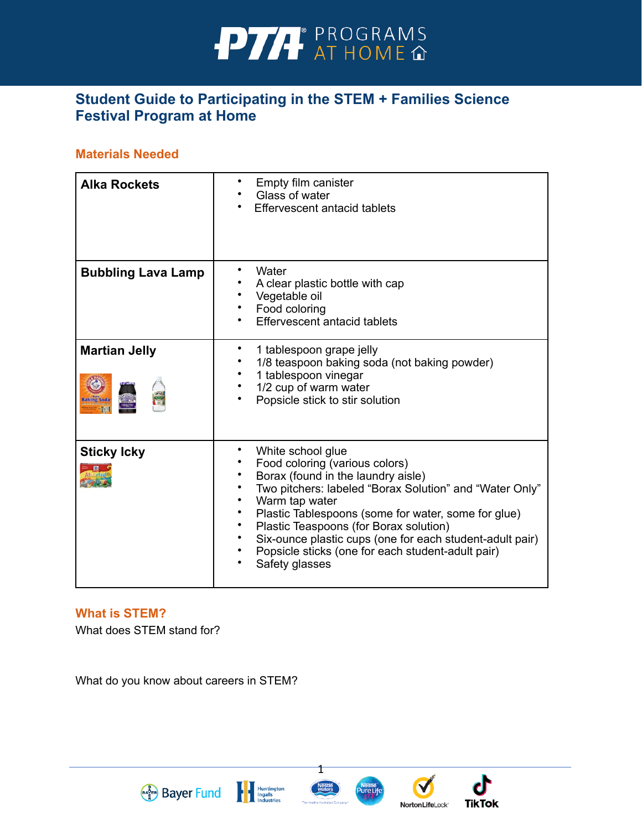

## **Student Guide to Participating in the STEM + Families Science Festival Program at Home**

#### **Materials Needed**

| <b>Alka Rockets</b>       | Empty film canister<br>Glass of water<br>Effervescent antacid tablets                                                                                                                                                                                                                                                                                                                                                   |
|---------------------------|-------------------------------------------------------------------------------------------------------------------------------------------------------------------------------------------------------------------------------------------------------------------------------------------------------------------------------------------------------------------------------------------------------------------------|
| <b>Bubbling Lava Lamp</b> | Water<br>A clear plastic bottle with cap<br>Vegetable oil<br>Food coloring<br>Effervescent antacid tablets                                                                                                                                                                                                                                                                                                              |
| <b>Martian Jelly</b>      | 1 tablespoon grape jelly<br>1/8 teaspoon baking soda (not baking powder)<br>1 tablespoon vinegar<br>1/2 cup of warm water<br>Popsicle stick to stir solution                                                                                                                                                                                                                                                            |
| <b>Sticky Icky</b>        | White school glue<br>Food coloring (various colors)<br>Borax (found in the laundry aisle)<br>Two pitchers: labeled "Borax Solution" and "Water Only"<br>Warm tap water<br>$\bullet$<br>Plastic Tablespoons (some for water, some for glue)<br>Plastic Teaspoons (for Borax solution)<br>Six-ounce plastic cups (one for each student-adult pair)<br>Popsicle sticks (one for each student-adult pair)<br>Safety glasses |

#### **What is STEM?**

What does STEM stand for?

What do you know about careers in STEM?



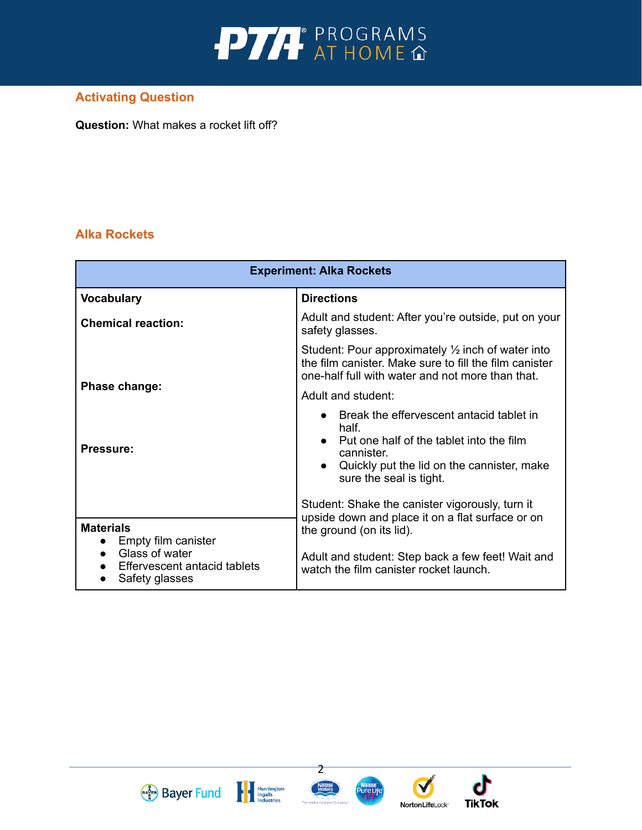

## **Activating Question**

**Question:** What makes a rocket lift off?

## **Alka Rockets**

| <b>Experiment: Alka Rockets</b>                                  |                                                                                                                                                                                        |  |
|------------------------------------------------------------------|----------------------------------------------------------------------------------------------------------------------------------------------------------------------------------------|--|
| <b>Vocabulary</b>                                                | <b>Directions</b>                                                                                                                                                                      |  |
| <b>Chemical reaction:</b>                                        | Adult and student: After you're outside, put on your<br>safety glasses.                                                                                                                |  |
|                                                                  | Student: Pour approximately $\frac{1}{2}$ inch of water into<br>the film canister. Make sure to fill the film canister<br>one-half full with water and not more than that.             |  |
| Phase change:                                                    | Adult and student:                                                                                                                                                                     |  |
| <b>Pressure:</b>                                                 | Break the effervescent antacid tablet in<br>half.<br>• Put one half of the tablet into the film<br>cannister.<br>Quickly put the lid on the cannister, make<br>sure the seal is tight. |  |
| <b>Materials</b><br>Empty film canister                          | Student: Shake the canister vigorously, turn it<br>upside down and place it on a flat surface or on<br>the ground (on its lid).                                                        |  |
| Glass of water<br>Effervescent antacid tablets<br>Safety glasses | Adult and student: Step back a few feet! Wait and<br>watch the film canister rocket launch.                                                                                            |  |





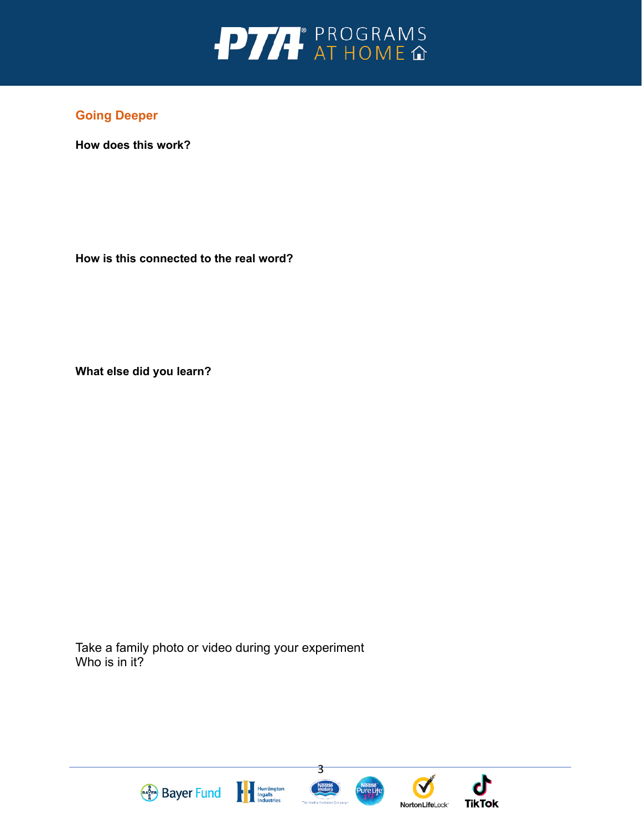

**How does this work?** 

**How is this connected to the real word?** 

**What else did you learn?**

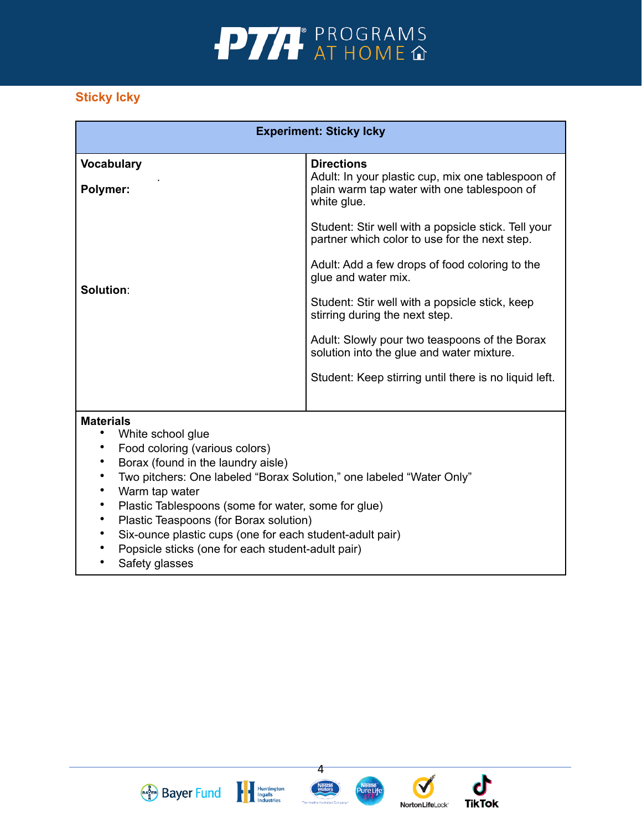

## **Sticky Icky**

| <b>Experiment: Sticky Icky</b>                                                                                                                                                                                                                                                                                                                                                                                                                                                                                                                                                |                                                                                                                                      |  |
|-------------------------------------------------------------------------------------------------------------------------------------------------------------------------------------------------------------------------------------------------------------------------------------------------------------------------------------------------------------------------------------------------------------------------------------------------------------------------------------------------------------------------------------------------------------------------------|--------------------------------------------------------------------------------------------------------------------------------------|--|
| <b>Vocabulary</b><br>Polymer:                                                                                                                                                                                                                                                                                                                                                                                                                                                                                                                                                 | <b>Directions</b><br>Adult: In your plastic cup, mix one tablespoon of<br>plain warm tap water with one tablespoon of<br>white glue. |  |
|                                                                                                                                                                                                                                                                                                                                                                                                                                                                                                                                                                               | Student: Stir well with a popsicle stick. Tell your<br>partner which color to use for the next step.                                 |  |
| Solution:                                                                                                                                                                                                                                                                                                                                                                                                                                                                                                                                                                     | Adult: Add a few drops of food coloring to the<br>glue and water mix.                                                                |  |
|                                                                                                                                                                                                                                                                                                                                                                                                                                                                                                                                                                               | Student: Stir well with a popsicle stick, keep<br>stirring during the next step.                                                     |  |
|                                                                                                                                                                                                                                                                                                                                                                                                                                                                                                                                                                               | Adult: Slowly pour two teaspoons of the Borax<br>solution into the glue and water mixture.                                           |  |
|                                                                                                                                                                                                                                                                                                                                                                                                                                                                                                                                                                               | Student: Keep stirring until there is no liquid left.                                                                                |  |
| <b>Materials</b><br>White school glue<br>$\bullet$<br>Food coloring (various colors)<br>$\bullet$<br>Borax (found in the laundry aisle)<br>$\bullet$<br>$\bullet$<br>Two pitchers: One labeled "Borax Solution," one labeled "Water Only"<br>Warm tap water<br>$\bullet$<br>Plastic Tablespoons (some for water, some for glue)<br>$\bullet$<br>Plastic Teaspoons (for Borax solution)<br>$\bullet$<br>$\bullet$<br>Six-ounce plastic cups (one for each student-adult pair)<br>Popsicle sticks (one for each student-adult pair)<br>$\bullet$<br>Safety glasses<br>$\bullet$ |                                                                                                                                      |  |





4



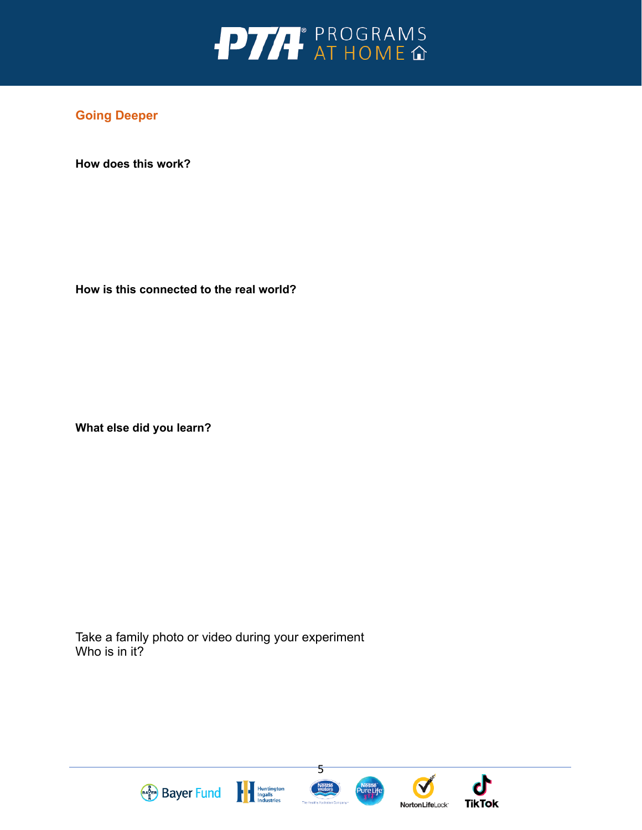

**How does this work?** 

**How is this connected to the real world?** 

**What else did you learn?** 

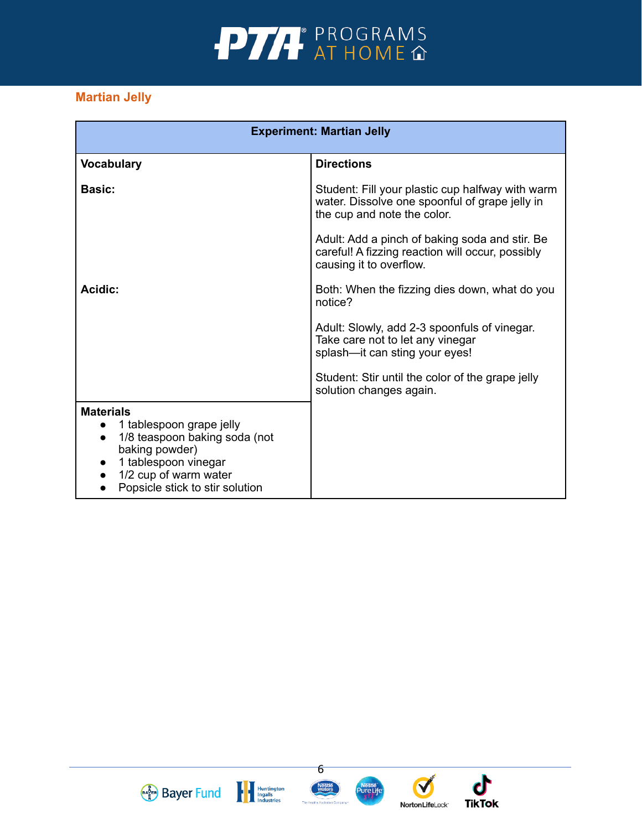

## **Martian Jelly**

| <b>Experiment: Martian Jelly</b>                                                                                                                                                                              |                                                                                                                                   |  |
|---------------------------------------------------------------------------------------------------------------------------------------------------------------------------------------------------------------|-----------------------------------------------------------------------------------------------------------------------------------|--|
| <b>Vocabulary</b>                                                                                                                                                                                             | <b>Directions</b>                                                                                                                 |  |
| <b>Basic:</b>                                                                                                                                                                                                 | Student: Fill your plastic cup halfway with warm<br>water. Dissolve one spoonful of grape jelly in<br>the cup and note the color. |  |
|                                                                                                                                                                                                               | Adult: Add a pinch of baking soda and stir. Be<br>careful! A fizzing reaction will occur, possibly<br>causing it to overflow.     |  |
| Acidic:                                                                                                                                                                                                       | Both: When the fizzing dies down, what do you<br>notice?                                                                          |  |
|                                                                                                                                                                                                               | Adult: Slowly, add 2-3 spoonfuls of vinegar.<br>Take care not to let any vinegar<br>splash-it can sting your eyes!                |  |
|                                                                                                                                                                                                               | Student: Stir until the color of the grape jelly<br>solution changes again.                                                       |  |
| <b>Materials</b><br>1 tablespoon grape jelly<br>$\bullet$<br>1/8 teaspoon baking soda (not<br>$\bullet$<br>baking powder)<br>1 tablespoon vinegar<br>1/2 cup of warm water<br>Popsicle stick to stir solution |                                                                                                                                   |  |







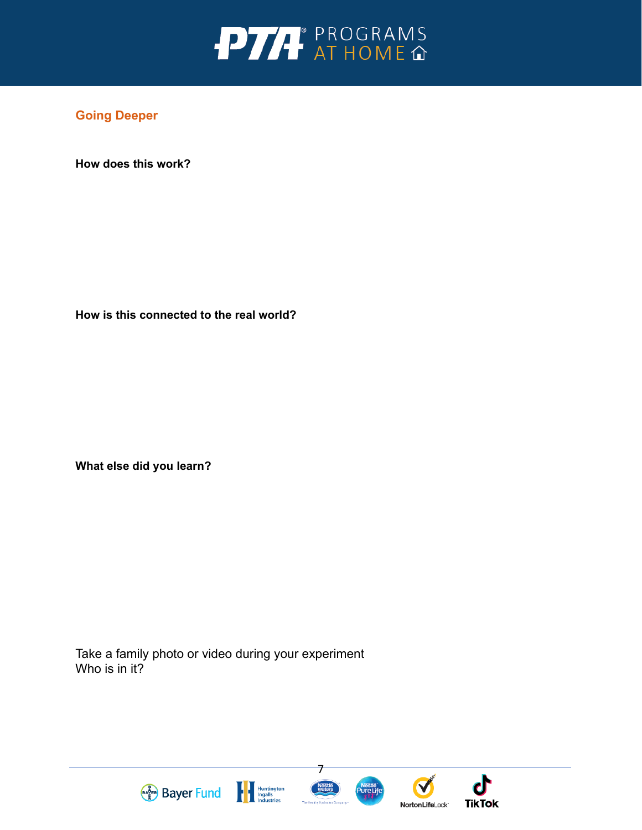

**How does this work?** 

**How is this connected to the real world?** 

**What else did you learn?** 

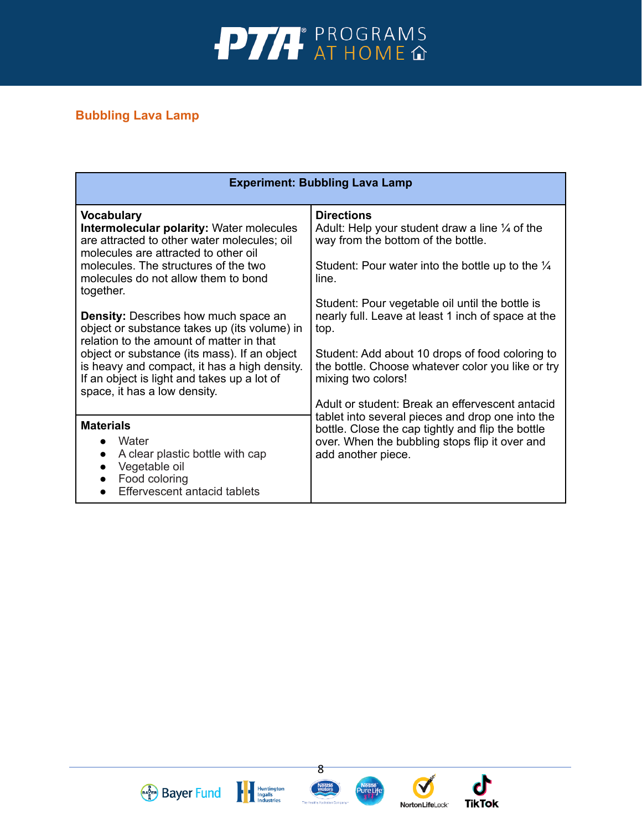

## **Bubbling Lava Lamp**

| <b>Experiment: Bubbling Lava Lamp</b>                                                                                                                                                                                                                                                                                                                                                                                                                                                                                                                                             |                                                                                                                                                                                                                                                                                                                                                                                                                                                                                                |  |  |
|-----------------------------------------------------------------------------------------------------------------------------------------------------------------------------------------------------------------------------------------------------------------------------------------------------------------------------------------------------------------------------------------------------------------------------------------------------------------------------------------------------------------------------------------------------------------------------------|------------------------------------------------------------------------------------------------------------------------------------------------------------------------------------------------------------------------------------------------------------------------------------------------------------------------------------------------------------------------------------------------------------------------------------------------------------------------------------------------|--|--|
| <b>Vocabulary</b><br><b>Intermolecular polarity: Water molecules</b><br>are attracted to other water molecules; oil<br>molecules are attracted to other oil<br>molecules. The structures of the two<br>molecules do not allow them to bond<br>together.<br><b>Density:</b> Describes how much space an<br>object or substance takes up (its volume) in<br>relation to the amount of matter in that<br>object or substance (its mass). If an object<br>is heavy and compact, it has a high density.<br>If an object is light and takes up a lot of<br>space, it has a low density. | <b>Directions</b><br>Adult: Help your student draw a line $\frac{1}{4}$ of the<br>way from the bottom of the bottle.<br>Student: Pour water into the bottle up to the $\frac{1}{4}$<br>line.<br>Student: Pour vegetable oil until the bottle is<br>nearly full. Leave at least 1 inch of space at the<br>top.<br>Student: Add about 10 drops of food coloring to<br>the bottle. Choose whatever color you like or try<br>mixing two colors!<br>Adult or student: Break an effervescent antacid |  |  |
| <b>Materials</b><br>Water<br>A clear plastic bottle with cap<br>$\bullet$<br>Vegetable oil<br>$\bullet$<br>Food coloring<br>$\bullet$<br>Effervescent antacid tablets<br>$\bullet$                                                                                                                                                                                                                                                                                                                                                                                                | tablet into several pieces and drop one into the<br>bottle. Close the cap tightly and flip the bottle<br>over. When the bubbling stops flip it over and<br>add another piece.                                                                                                                                                                                                                                                                                                                  |  |  |





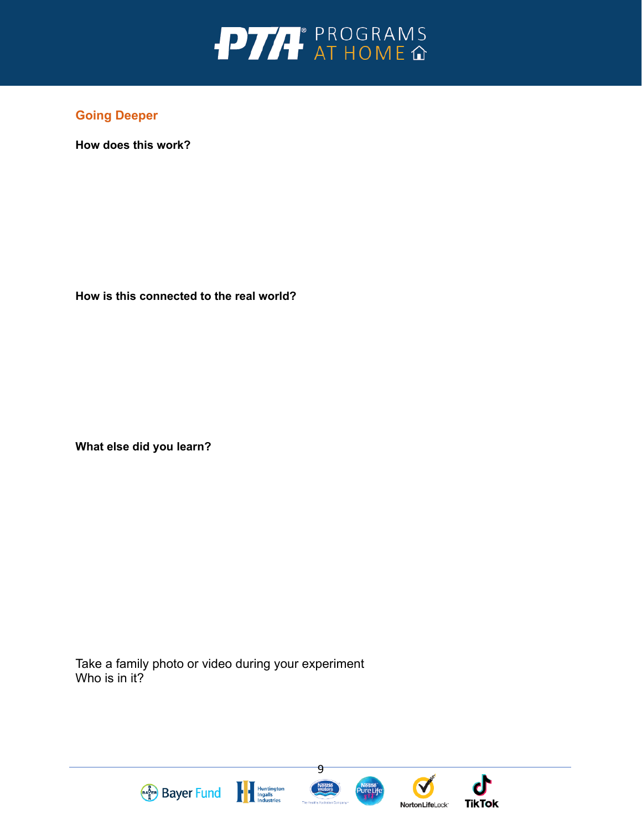

**How does this work?** 

**How is this connected to the real world?** 

**What else did you learn?** 

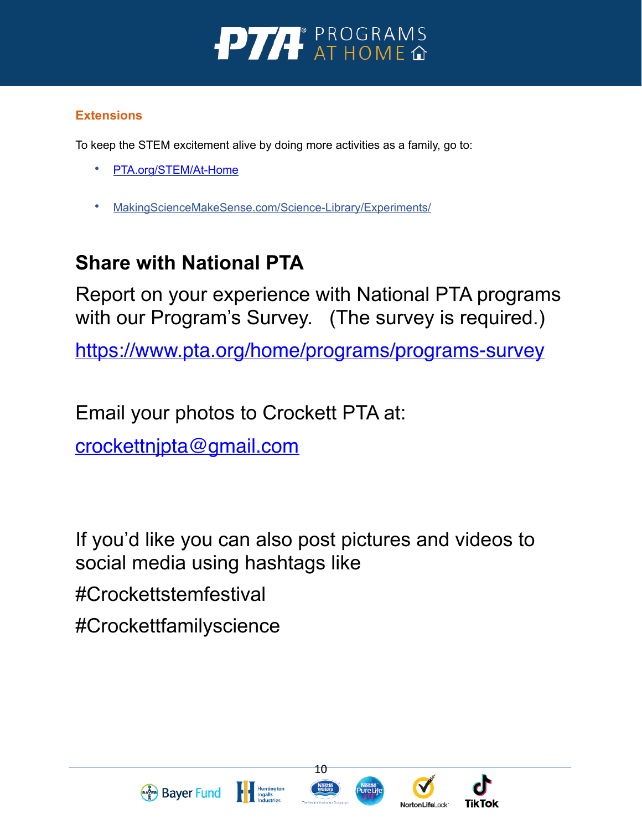

## **Extensions**

To keep the STEM excitement alive by doing more activities as a family, go to:

- [PTA.org/STEM/At-Home](http://www.PTA.org/STEM/At-Home)
- MakingScienceMakeSense.com/Science-Library/Experiments/

# **Share with National PTA**

Report on your experience with National PTA programs with our Program's Survey. (The survey is required.)

<https://www.pta.org/home/programs/programs-survey>

Email your photos to Crockett PTA at:

[crockettnjpta@gmail.com](mailto:crockettnjpta@gmail.com)

If you'd like you can also post pictures and videos to social media using hashtags like #Crockettstemfestival

#Crockettfamilyscience





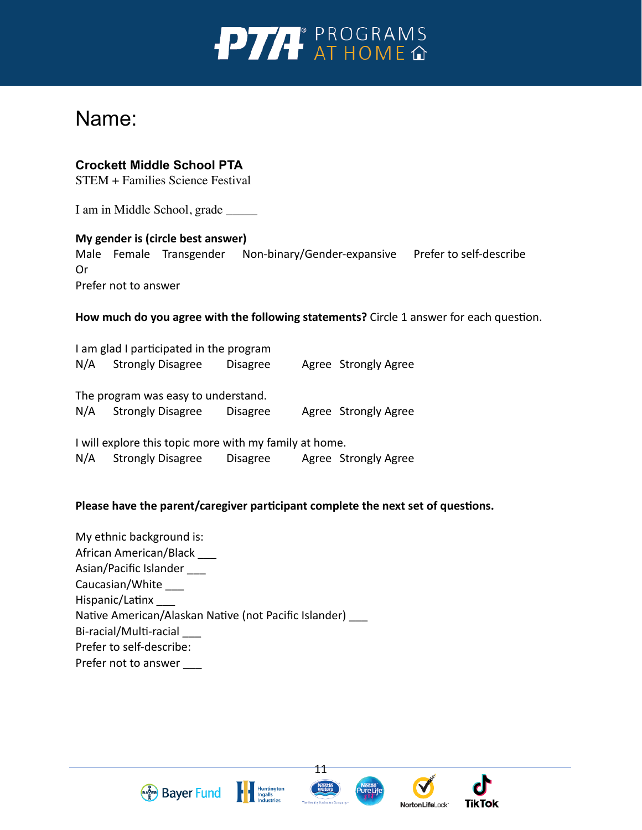

## Name:

## **Crockett Middle School PTA**

STEM + Families Science Festival

I am in Middle School, grade \_\_\_\_\_

## **My gender is (circle best answer)**

Male Female Transgender Non-binary/Gender-expansive Prefer to self-describe Or Prefer not to answer

**How much do you agree with the following statements?** Circle 1 answer for each question.

I am glad I participated in the program N/A Strongly Disagree Disagree Agree Strongly Agree The program was easy to understand. N/A Strongly Disagree Disagree Agree Strongly Agree

I will explore this topic more with my family at home. N/A Strongly Disagree Disagree Agree Strongly Agree

#### **Please have the parent/caregiver participant complete the next set of questions.**

My ethnic background is: African American/Black \_\_\_ Asian/Pacific Islander \_\_\_ Caucasian/White \_\_\_ Hispanic/Latinx \_\_\_ Native American/Alaskan Native (not Pacific Islander) \_\_\_ Bi-racial/Multi-racial \_\_\_ Prefer to self-describe: Prefer not to answer